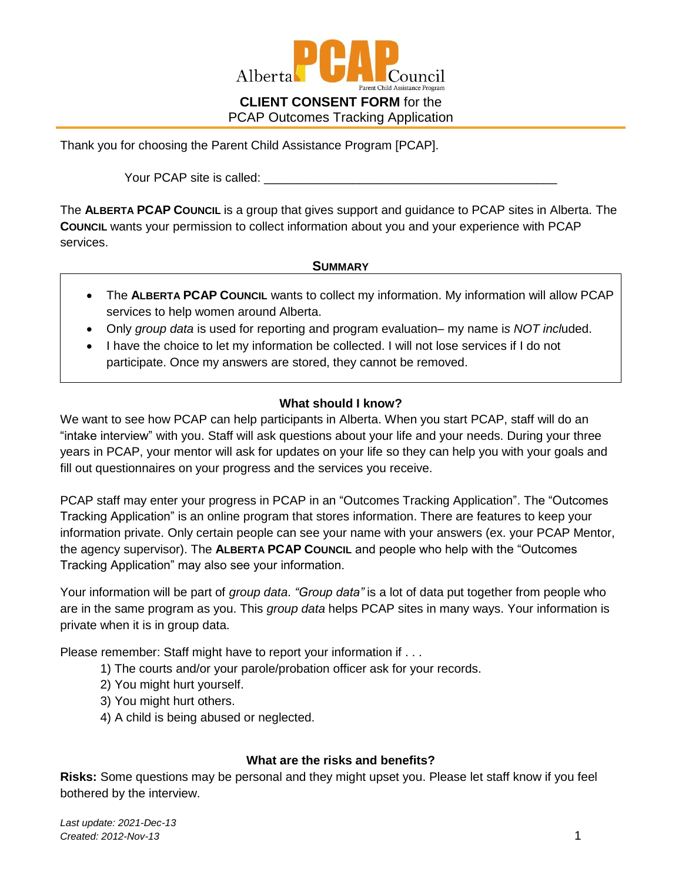

Thank you for choosing the Parent Child Assistance Program [PCAP].

Your PCAP site is called:

The **ALBERTA PCAP COUNCIL** is a group that gives support and guidance to PCAP sites in Alberta. The **COUNCIL** wants your permission to collect information about you and your experience with PCAP services.

### **SUMMARY**

- The **ALBERTA PCAP COUNCIL** wants to collect my information. My information will allow PCAP services to help women around Alberta.
- Only *group data* is used for reporting and program evaluation– my name i*s NOT incl*uded.
- I have the choice to let my information be collected. I will not lose services if I do not participate. Once my answers are stored, they cannot be removed.

## **What should I know?**

We want to see how PCAP can help participants in Alberta. When you start PCAP, staff will do an "intake interview" with you. Staff will ask questions about your life and your needs. During your three years in PCAP, your mentor will ask for updates on your life so they can help you with your goals and fill out questionnaires on your progress and the services you receive.

PCAP staff may enter your progress in PCAP in an "Outcomes Tracking Application". The "Outcomes Tracking Application" is an online program that stores information. There are features to keep your information private. Only certain people can see your name with your answers (ex. your PCAP Mentor, the agency supervisor). The **ALBERTA PCAP COUNCIL** and people who help with the "Outcomes Tracking Application" may also see your information.

Your information will be part of *group data*. *"Group data"* is a lot of data put together from people who are in the same program as you. This *group data* helps PCAP sites in many ways. Your information is private when it is in group data.

Please remember: Staff might have to report your information if . . .

- 1) The courts and/or your parole/probation officer ask for your records.
- 2) You might hurt yourself.
- 3) You might hurt others.
- 4) A child is being abused or neglected.

### **What are the risks and benefits?**

**Risks:** Some questions may be personal and they might upset you. Please let staff know if you feel bothered by the interview.